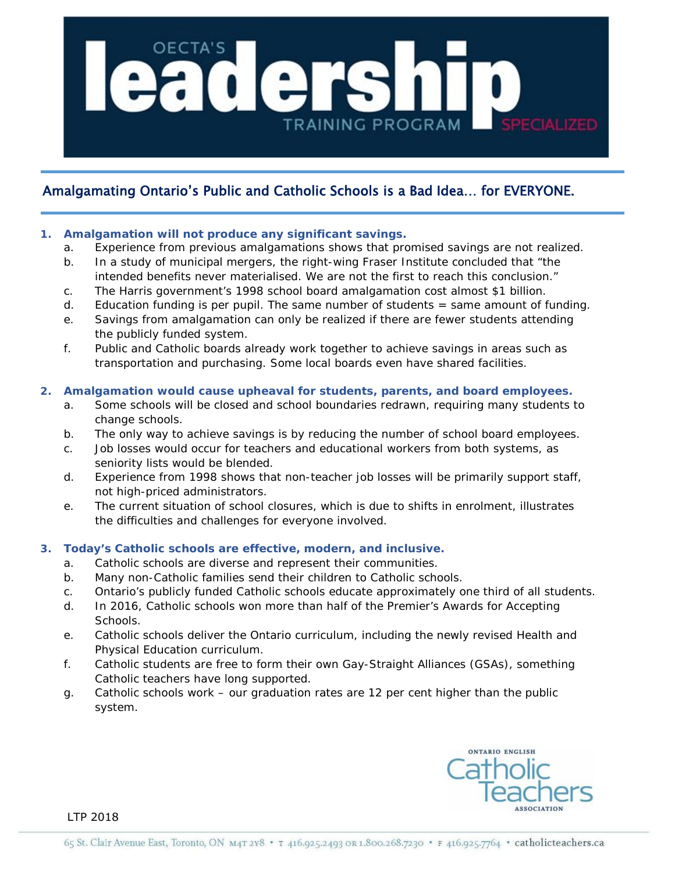

## Amalgamating Ontario's Public and Catholic Schools is a Bad Idea… for EVERYONE.

#### **1. Amalgamation will not produce any significant savings.**

- a. Experience from previous amalgamations shows that promised savings are not realized.
- b. In a study of municipal mergers, the right-wing Fraser Institute concluded that "the intended benefits never materialised. We are not the first to reach this conclusion."
- c. The Harris government's 1998 school board amalgamation cost almost \$1 billion.
- d. Education funding is per pupil. The same number of students = same amount of funding.
- e. Savings from amalgamation can only be realized if there are fewer students attending the publicly funded system.
- f. Public and Catholic boards already work together to achieve savings in areas such as transportation and purchasing. Some local boards even have shared facilities.

#### **2. Amalgamation would cause upheaval for students, parents, and board employees.**

- a. Some schools will be closed and school boundaries redrawn, requiring many students to change schools.
- b. The only way to achieve savings is by reducing the number of school board employees.
- c. Job losses would occur for teachers and educational workers from both systems, as seniority lists would be blended.
- d. Experience from 1998 shows that non-teacher job losses will be primarily support staff, not high-priced administrators.
- e. The current situation of school closures, which is due to shifts in enrolment, illustrates the difficulties and challenges for everyone involved.

### **3. Today's Catholic schools are effective, modern, and inclusive.**

- a. Catholic schools are diverse and represent their communities.
- b. Many non-Catholic families send their children to Catholic schools.
- c. Ontario's publicly funded Catholic schools educate approximately one third of all students.
- d. In 2016, Catholic schools won more than half of the Premier's Awards for Accepting **Schools**
- e. Catholic schools deliver the Ontario curriculum, including the newly revised Health and Physical Education curriculum.
- f. Catholic students are free to form their own Gay-Straight Alliances (GSAs), something Catholic teachers have long supported.
- g. Catholic schools work our graduation rates are 12 per cent higher than the public system.



LTP 2018